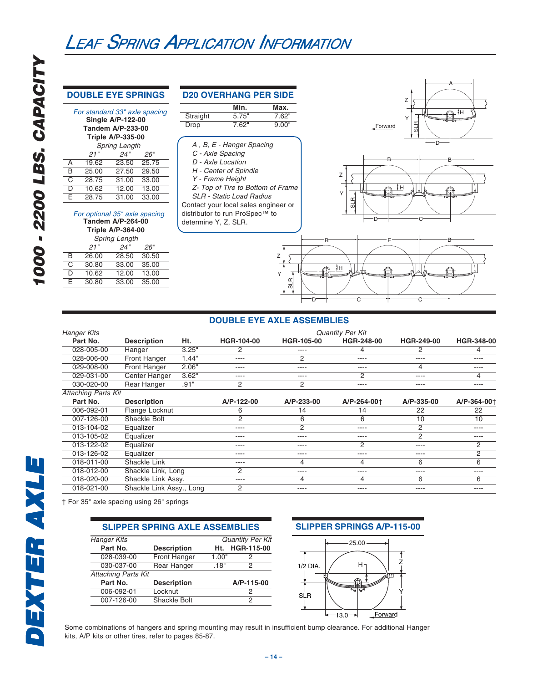### **DOUBLE EYE SPRINGS**

| For standard 33" axle spacing<br><b>Single A/P-122-00</b><br><b>Tandem A/P-233-00</b><br><b>Triple A/P-335-00</b> |       |                      |       |  |  |
|-------------------------------------------------------------------------------------------------------------------|-------|----------------------|-------|--|--|
|                                                                                                                   |       | <b>Spring Length</b> |       |  |  |
|                                                                                                                   | 21"   | 24"                  | 26"   |  |  |
| A                                                                                                                 | 19.62 | 23.50                | 25.75 |  |  |
| R                                                                                                                 | 25.00 | 27.50                | 29.50 |  |  |
| C                                                                                                                 | 28.75 | 31.00                | 33.00 |  |  |
| D                                                                                                                 | 10.62 | 12.00                | 13.00 |  |  |
| F                                                                                                                 | 28.75 | 31.00                | 33.00 |  |  |
|                                                                                                                   |       |                      |       |  |  |

### For optional 35" axle spacing **Tandem A/P-264-00**

| <b>Triple A/P-364-00</b> |  |  |  |  |  |
|--------------------------|--|--|--|--|--|
|                          |  |  |  |  |  |
|                          |  |  |  |  |  |
|                          |  |  |  |  |  |
|                          |  |  |  |  |  |
|                          |  |  |  |  |  |
|                          |  |  |  |  |  |
|                          |  |  |  |  |  |

| <b>D20 OVERHANG PER SIDE</b>         |                                   |       |  |  |  |
|--------------------------------------|-----------------------------------|-------|--|--|--|
|                                      | Min.                              | Max.  |  |  |  |
| Straight                             | 5.75"                             | 7.62" |  |  |  |
| Drop                                 | 7.62"                             | 9.00" |  |  |  |
|                                      |                                   |       |  |  |  |
|                                      | A, B, E - Hanger Spacing          |       |  |  |  |
| C - Axle Spacing                     |                                   |       |  |  |  |
| D - Axle Location                    |                                   |       |  |  |  |
|                                      | H - Center of Spindle             |       |  |  |  |
| Y - Frame Height                     |                                   |       |  |  |  |
|                                      | Z- Top of Tire to Bottom of Frame |       |  |  |  |
|                                      | <b>SLR</b> - Static Load Radius   |       |  |  |  |
| Contact your local sales engineer or |                                   |       |  |  |  |
| distributor to run ProSpec™ to       |                                   |       |  |  |  |
| determine Y, Z, SLR.                 |                                   |       |  |  |  |
|                                      |                                   |       |  |  |  |





### **DOUBLE EYE AXLE ASSEMBLIES**

| <b>Hanger Kits</b>         |                          |                          |                   | <b>Quantity Per Kit</b> |                   |             |
|----------------------------|--------------------------|--------------------------|-------------------|-------------------------|-------------------|-------------|
| Part No.                   | <b>Description</b>       | Ht.<br><b>HGR-104-00</b> | <b>HGR-105-00</b> | HGR-248-00              | <b>HGR-249-00</b> | HGR-348-00  |
| 028-005-00                 | Hanger                   | 3.25"<br>2               | ----              | 4                       | 2                 | 4           |
| 028-006-00                 | <b>Front Hanger</b>      | 1.44"<br>----            | 2                 | ----                    | ----              | ----        |
| 029-008-00                 | <b>Front Hanger</b>      | 2.06"<br>----            | ----              | ----                    | 4                 | ----        |
| 029-031-00                 | Center Hanger            | 3.62"<br>----            | ----              | 2                       | ----              | 4           |
| 030-020-00                 | <b>Rear Hanger</b>       | .91"<br>2                | 2                 | ----                    | ----              | ----        |
| <b>Attaching Parts Kit</b> |                          |                          |                   |                         |                   |             |
| Part No.                   | <b>Description</b>       | A/P-122-00               | A/P-233-00        | A/P-264-00+             | A/P-335-00        | A/P-364-00+ |
| 006-092-01                 | Flange Locknut           | 6                        | 14                | 14                      | 22                | 22          |
| 007-126-00                 | Shackle Bolt             | 2                        | 6                 | 6                       | 10                | 10          |
| 013-104-02                 | Equalizer                | ----                     | 2                 | ----                    | $\overline{2}$    | ----        |
| 013-105-02                 | Equalizer                | ----                     | $- - - -$         | ----                    | 2                 | ----        |
| 013-122-02                 | Equalizer                | ----                     | ----              | 2                       | ----              | 2           |
| 013-126-02                 | Equalizer                | ----                     | ----              | ----                    | ----              | 2           |
| 018-011-00                 | Shackle Link             | ----                     | 4                 | 4                       | 6                 | 6           |
| 018-012-00                 | Shackle Link, Long       | 2                        | $- - - -$         | ----                    | ----              | ----        |
| 018-020-00                 | Shackle Link Assy.       | ----                     | 4                 | 4                       | 6                 | 6           |
| 018-021-00                 | Shackle Link Assy., Long | $\overline{2}$           | ----              | ----                    | ----              | ----        |

† For 35" axle spacing using 26" springs

### **SLIPPER SPRING AXLE ASSEMBLIES**

| <b>Hanger Kits</b>         |                    |       | <b>Quantity Per Kit</b> |
|----------------------------|--------------------|-------|-------------------------|
| Part No.                   | <b>Description</b> | Ht.   | HGR-115-00              |
| 028-039-00                 | Front Hanger       | 1.00" | 2                       |
| 030-037-00                 | Rear Hanger        | .18"  | 2                       |
| <b>Attaching Parts Kit</b> |                    |       |                         |
| Part No.                   | <b>Description</b> |       | A/P-115-00              |
| 006-092-01                 | Locknut            |       | 2                       |
| 007-126-00                 | Shackle Bolt       |       | 2                       |
|                            |                    |       |                         |





Some combinations of hangers and spring mounting may result in insufficient bump clearance. For additional Hanger kits, A/P kits or other tires, refer to pages 85-87.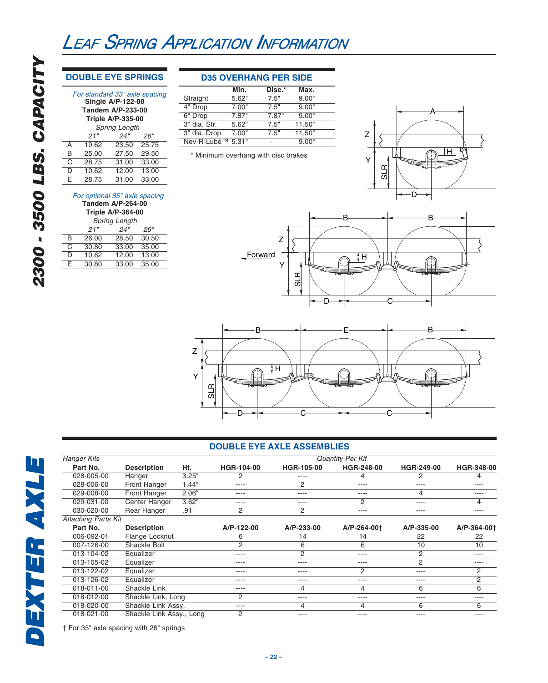### **DOUBLE EYE SPRINGS**

| For standard 33" axle spacing<br><b>Single A/P-122-00</b><br><b>Tandem A/P-233-00</b> |                   |                          |       |  |  |  |  |
|---------------------------------------------------------------------------------------|-------------------|--------------------------|-------|--|--|--|--|
|                                                                                       |                   | <b>Triple A/P-335-00</b> |       |  |  |  |  |
|                                                                                       |                   | <b>Spring Length</b>     |       |  |  |  |  |
|                                                                                       | 24"<br>21"<br>26" |                          |       |  |  |  |  |
| A                                                                                     | 19.62             | 23.50                    | 25.75 |  |  |  |  |
| B                                                                                     | 25.00             | 27.50                    | 29.50 |  |  |  |  |
| C                                                                                     | 28.75             | 31.00                    | 33.00 |  |  |  |  |
| D                                                                                     | 10.62             | 12.00                    | 13.00 |  |  |  |  |
| F                                                                                     | 28.75             | 31.00                    | 33.00 |  |  |  |  |

### For optional 35" axle spacing

| <b>Tandem A/P-264-00</b><br><b>Triple A/P-364-00</b> |       |       |       |  |  |
|------------------------------------------------------|-------|-------|-------|--|--|
| <b>Spring Length</b>                                 |       |       |       |  |  |
|                                                      | 21"   | 24"   | 26"   |  |  |
| B                                                    | 26.00 | 28.50 | 30.50 |  |  |
| C                                                    | 30.80 | 33.00 | 35.00 |  |  |
| D                                                    | 10.62 | 12.00 | 13.00 |  |  |
| F                                                    | 30.80 | 33.00 | 35.00 |  |  |
|                                                      |       |       |       |  |  |

### **D35 OVERHANG PER SIDE**

|              | Min.                | Disc.* | Max.   |
|--------------|---------------------|--------|--------|
| Straight     | 5.62"               | 7.5"   | 9.00"  |
| 4" Drop      | 7.00"               | 7.5"   | 9.00"  |
| 6" Drop      | 7.87"               | 7.87"  | 9.00"  |
| 3" dia. Str. | $5.62$ <sup>"</sup> | 7.5"   | 11.50" |
| 3" dia. Drop | 7.00"               | 7.5"   | 11.50" |
| Nev-R-Lube™  | 5.31"               |        | 9.00"  |

\* Minimum overhang with disc brakes







### **DOUBLE EYE AXLE ASSEMBLIES**

| <b>Hanger Kits</b>         |                          |       |                   |                | <b>Quantity Per Kit</b> |                   |             |
|----------------------------|--------------------------|-------|-------------------|----------------|-------------------------|-------------------|-------------|
| Part No.                   | <b>Description</b>       | Ht.   | <b>HGR-104-00</b> | HGR-105-00     | <b>HGR-248-00</b>       | <b>HGR-249-00</b> | HGR-348-00  |
| 028-005-00                 | Hanger                   | 3.25" | 2                 | ----           | 4                       | 2                 |             |
| 028-006-00                 | Front Hanger             | 1.44" | ----              | 2              | ----                    | ----              | $- - -$     |
| 029-008-00                 | <b>Front Hanger</b>      | 2.06" | ----              | ----           | ----                    | 4                 | $- - - -$   |
| 029-031-00                 | Center Hanger            | 3.62" | ----              | ----           | $\overline{2}$          | ----              | 4           |
| 030-020-00                 | <b>Rear Hanger</b>       | .91"  | 2                 | 2              | ----                    | ----              | ----        |
| <b>Attaching Parts Kit</b> |                          |       |                   |                |                         |                   |             |
| Part No.                   | <b>Description</b>       |       | A/P-122-00        | A/P-233-00     | A/P-264-00+             | A/P-335-00        | A/P-364-00+ |
| 006-092-01                 | Flange Locknut           |       | 6                 | 14             | 14                      | 22                | 22          |
| 007-126-00                 | Shackle Bolt             |       | 2                 | 6              | 6                       | 10                | 10          |
| 013-104-02                 | Equalizer                |       | ----              | $\overline{2}$ | ----                    | 2                 | ----        |
| 013-105-02                 | Equalizer                |       | ----              | ----           | ----                    | $\overline{2}$    | ----        |
| 013-122-02                 | Equalizer                |       | ----              | ----           | 2                       | ----              | 2           |
| 013-126-02                 | Equalizer                |       | ----              | ----           | ----                    | ----              | 2           |
| 018-011-00                 | Shackle Link             |       | ----              | 4              | 4                       | 6                 | 6           |
| 018-012-00                 | Shackle Link, Long       |       | 2                 | ----           | ----                    | ----              | $- - - -$   |
| 018-020-00                 | Shackle Link Assy.       |       | $- - - -$         | 4              | 4                       | 6                 | 6           |
| 018-021-00                 | Shackle Link Assy., Long |       | 2                 | ----           | ----                    | ----              | $- - - -$   |

† For 35" axle spacing with 26" springs

**DEXTER AXLE DEXTER AXLE**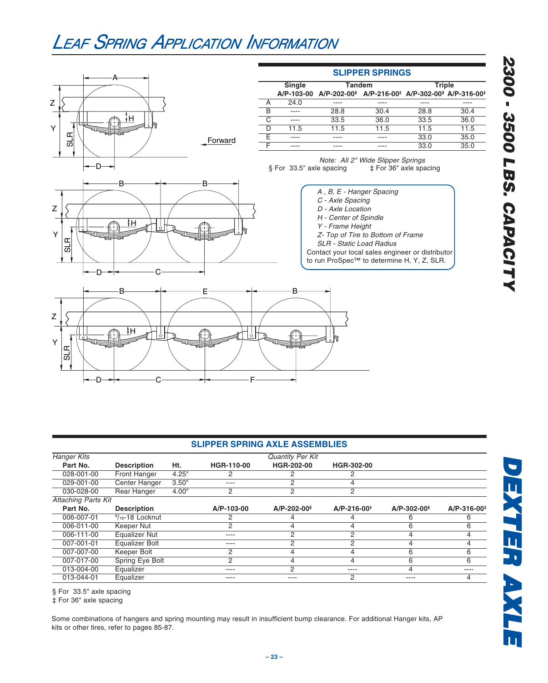

|                            |                      |       | <b>SLIPPER SPRING AXLE ASSEMBLIES</b> |                         |                    |                   |                         |
|----------------------------|----------------------|-------|---------------------------------------|-------------------------|--------------------|-------------------|-------------------------|
| <b>Hanger Kits</b>         |                      |       |                                       | <b>Quantity Per Kit</b> |                    |                   |                         |
| Part No.                   | <b>Description</b>   | Ht.   | HGR-110-00                            | <b>HGR-202-00</b>       | <b>HGR-302-00</b>  |                   |                         |
| 028-001-00                 | <b>Front Hanger</b>  | 4.25" | 2                                     |                         |                    |                   |                         |
| 029-001-00                 | <b>Center Hanger</b> | 3.50" | ----                                  |                         | 4                  |                   |                         |
| 030-028-00                 | Rear Hanger          | 4.00" | 2                                     | C                       | 2                  |                   |                         |
| <b>Attaching Parts Kit</b> |                      |       |                                       |                         |                    |                   |                         |
| Part No.                   | <b>Description</b>   |       | A/P-103-00                            | $A/P - 202 - 00§$       | $A/P - 216 - 00^+$ | $A/P - 302 - 00§$ | A/P-316-00 <sup>#</sup> |
| 006-007-01                 | $9/16 - 18$ Locknut  |       | 2                                     |                         |                    | 6                 |                         |
| 006-011-00                 | Keeper Nut           |       | 2                                     |                         |                    | 6                 | 6                       |
| 006-111-00                 | <b>Equalizer Nut</b> |       | ----                                  | C                       |                    |                   |                         |
| 007-001-01                 | Equalizer Bolt       |       | ----                                  | 2                       | 2                  | 4                 | 4                       |
| 007-007-00                 | Keeper Bolt          |       | 2                                     |                         |                    | 6                 | ิค                      |
| 007-017-00                 | Spring Eye Bolt      |       | 2                                     |                         | 4                  | 6                 | 6                       |
| 013-004-00                 | Equalizer            |       | ----                                  | റ                       | ----               |                   | $---$                   |
| 013-044-01                 | Equalizer            |       | ----                                  | ----                    | 2                  | ----              |                         |

§ For 33.5" axle spacing

‡ For 36" axle spacing

Some combinations of hangers and spring mounting may result in insufficient bump clearance. For additional Hanger kits, AP kits or other tires, refer to pages 85-87.

**DEXTER AXLE DEXTER AXLE**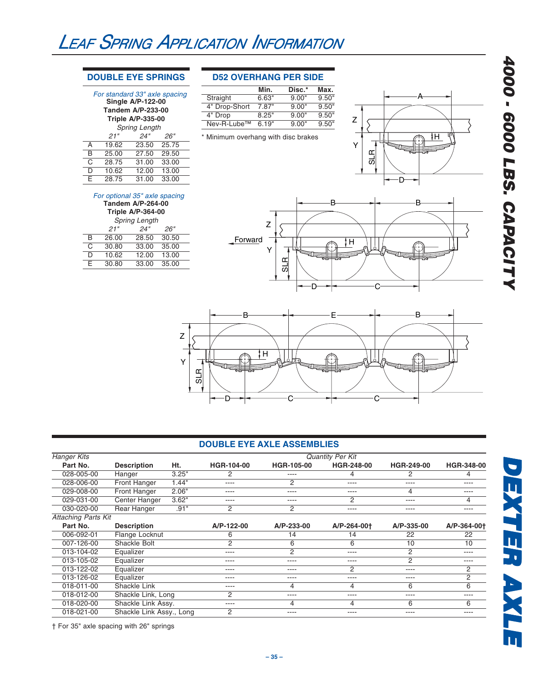### **DOUBLE EYE SPRINGS**

For standard 33" axle spacing **Single A/P-122-00 Tandem A/P-233-00 Triple A/P-335-00** Spring Length<br>
21" 24"

 $24''$   $26''$ 

### **D52 OVERHANG PER SIDE**

|                         | Min.  | Disc.* | Max.  |
|-------------------------|-------|--------|-------|
| Straight                | 6.63" | 9.00"  | 9.50" |
| 4" Drop-Short           | 7.87" | 9.00"  | 9.50" |
| 4" Drop                 | 8.25" | 9.00"  | 9.50" |
| Nev-R-Lube <sup>™</sup> | 6.19" | 9.00"  | 9.50" |
|                         |       |        |       |

#### \* Minimum overhang with disc brakes

### D A H Z Y SLR





D 10.62 12.00 13.00 E 28.75 31.00 33.00

A 19.62 23.50 25.75<br>B 25.00 27.50 29.50 B 25.00 27.50 29.50<br>C 28.75 31.00 33.00

 $\frac{C}{D}$  28.75

| <b>Triple A/P-364-00</b> |       |       |       |  |  |  |  |
|--------------------------|-------|-------|-------|--|--|--|--|
| <b>Spring Length</b>     |       |       |       |  |  |  |  |
| 21"<br>24"<br>26"        |       |       |       |  |  |  |  |
| B                        | 26.00 | 28.50 | 30.50 |  |  |  |  |
| C                        | 30.80 | 33.00 | 35.00 |  |  |  |  |
| D                        | 10.62 | 12.00 | 13.00 |  |  |  |  |
| F                        | 30.80 | 33.00 | 35.00 |  |  |  |  |



### **DOUBLE EYE AXLE ASSEMBLIES**

| <b>Hanger Kits</b>         |                          |       |            |                   | <b>Quantity Per Kit</b> |                   |             |
|----------------------------|--------------------------|-------|------------|-------------------|-------------------------|-------------------|-------------|
| Part No.                   | <b>Description</b>       | Ht.   | HGR-104-00 | <b>HGR-105-00</b> | <b>HGR-248-00</b>       | <b>HGR-249-00</b> | HGR-348-00  |
| 028-005-00                 | Hanger                   | 3.25" | 2          | ----              | 4                       | 2                 |             |
| 028-006-00                 | <b>Front Hanger</b>      | 1.44" | ----       | 2                 | ----                    | ----              | ----        |
| 029-008-00                 | <b>Front Hanger</b>      | 2.06" | ----       | ----              | ----                    | 4                 | $- - - -$   |
| 029-031-00                 | Center Hanger            | 3.62" | ----       | ----              | $\overline{2}$          | ----              | 4           |
| 030-020-00                 | <b>Rear Hanger</b>       | .91"  | 2          | $\overline{2}$    | ----                    | ----              | ----        |
| <b>Attaching Parts Kit</b> |                          |       |            |                   |                         |                   |             |
| Part No.                   | <b>Description</b>       |       | A/P-122-00 | A/P-233-00        | A/P-264-00+             | A/P-335-00        | A/P-364-00+ |
| 006-092-01                 | Flange Locknut           |       | 6          | 14                | 14                      | 22                | 22          |
| 007-126-00                 | Shackle Bolt             |       | 2          | 6                 | 6                       | 10                | 10          |
| 013-104-02                 | Equalizer                |       | ----       | 2                 | ----                    | 2                 | $- - - -$   |
| 013-105-02                 | Equalizer                |       | ----       | ----              | ----                    | 2                 | $---$       |
| 013-122-02                 | Equalizer                |       | ----       | ----              | 2                       | $- - - -$         | 2           |
| 013-126-02                 | Equalizer                |       | ----       | ----              | ----                    | $- - - -$         | 2           |
| 018-011-00                 | <b>Shackle Link</b>      |       | ----       | 4                 | 4                       | 6                 | 6           |
| 018-012-00                 | Shackle Link, Long       |       | 2          | ----              | ----                    | ----              | ----        |
| 018-020-00                 | Shackle Link Assy.       |       | ----       | 4                 | 4                       | 6                 | 6           |
| 018-021-00                 | Shackle Link Assy., Long |       | 2          | ----              | ----                    | ----              | ----        |

**DEXTER AXLE DEXTER AXLE**

DEXTER AXLE

† For 35" axle spacing with 26" springs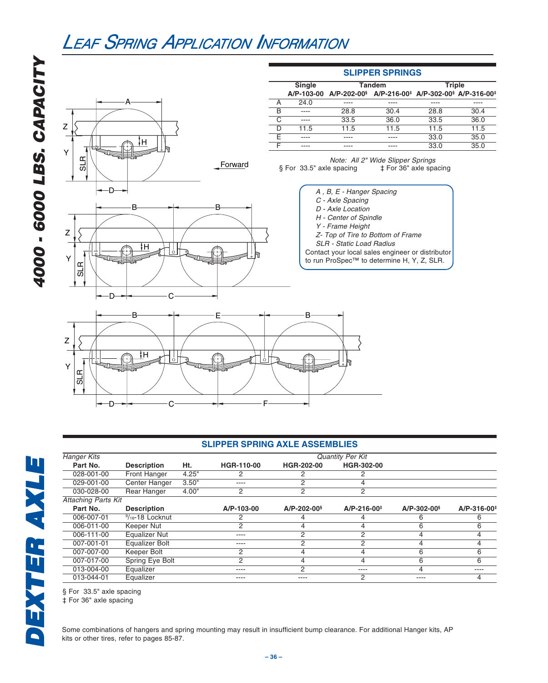

### **SLIPPER SPRING AXLE ASSEMBLIES**

| <b>Hanger Kits</b>         |                            |       | Quantity Per Kit |                   |                    |                   |                         |
|----------------------------|----------------------------|-------|------------------|-------------------|--------------------|-------------------|-------------------------|
| Part No.                   | <b>Description</b>         | Ht.   | HGR-110-00       | HGR-202-00        | HGR-302-00         |                   |                         |
| 028-001-00                 | Front Hanger               | 4.25" |                  |                   | 2                  |                   |                         |
| 029-001-00                 | <b>Center Hanger</b>       | 3.50" | ----             | 2                 | 4                  |                   |                         |
| 030-028-00                 | <b>Rear Hanger</b>         | 4.00" | 2                | 2                 | 2                  |                   |                         |
| <b>Attaching Parts Kit</b> |                            |       |                  |                   |                    |                   |                         |
| Part No.                   | <b>Description</b>         |       | A/P-103-00       | $A/P - 202 - 00§$ | $A/P - 216 - 00^+$ | $A/P - 302 - 00§$ | A/P-316-00 <sup>+</sup> |
| 006-007-01                 | $\frac{9}{16}$ -18 Locknut |       |                  |                   |                    | 6                 | 6                       |
| 006-011-00                 | Keeper Nut                 |       | 2                |                   | 4                  | 6                 | 6                       |
| 006-111-00                 | <b>Equalizer Nut</b>       |       | ----             | 2                 | 2                  |                   |                         |
| 007-001-01                 | Equalizer Bolt             |       | ----             | 2                 | 2                  | 4                 |                         |
| 007-007-00                 | Keeper Bolt                |       | 2                | 4                 | 4                  | 6                 | 6                       |
| 007-017-00                 | Spring Eye Bolt            |       | 2                | 4                 | 4                  | 6                 | 6                       |
| 013-004-00                 | Equalizer                  |       | ----             | 2                 | $- - - -$          | 4                 | ----                    |
| 013-044-01                 | Equalizer                  |       | ----             | ----              | 2                  | ----              | 4                       |

§ For 33.5" axle spacing

C

D F

‡ For 36" axle spacing

Some combinations of hangers and spring mounting may result in insufficient bump clearance. For additional Hanger kits, AP kits or other tires, refer to pages 85-87.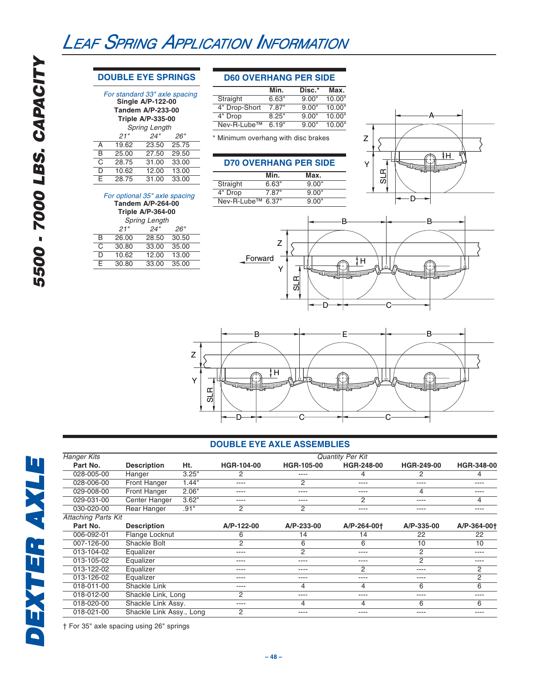### **DOUBLE EYE SPRINGS**

### For standard 33" axle spacing

| r or standard oo laxic spacing<br><b>Single A/P-122-00</b> |                          |       |       |  |  |  |  |  |  |
|------------------------------------------------------------|--------------------------|-------|-------|--|--|--|--|--|--|
| <b>Tandem A/P-233-00</b>                                   |                          |       |       |  |  |  |  |  |  |
|                                                            | <b>Triple A/P-335-00</b> |       |       |  |  |  |  |  |  |
| <b>Spring Length</b>                                       |                          |       |       |  |  |  |  |  |  |
|                                                            | 21"                      | 24"   | 26"   |  |  |  |  |  |  |
| A                                                          | 19.62                    | 23.50 | 25.75 |  |  |  |  |  |  |
| B                                                          | 25.00                    | 27.50 | 29.50 |  |  |  |  |  |  |
| $\overline{\text{C}}$                                      | 28.75                    | 31.00 | 33.00 |  |  |  |  |  |  |
| $\overline{\mathsf{D}}$                                    | 10.62                    | 12.00 | 13.00 |  |  |  |  |  |  |
| E                                                          | 28.75                    | 31.00 | 33.00 |  |  |  |  |  |  |

### For optional 35" axle spacing

| <b>Tandem A/P-264-00</b><br><b>Triple A/P-364-00</b> |                   |       |       |  |  |  |  |  |
|------------------------------------------------------|-------------------|-------|-------|--|--|--|--|--|
| <b>Spring Length</b>                                 |                   |       |       |  |  |  |  |  |
|                                                      | 24"<br>21"<br>26" |       |       |  |  |  |  |  |
| B                                                    | 26.00             | 28.50 | 30.50 |  |  |  |  |  |
| C                                                    | 30.80             | 33.00 | 35.00 |  |  |  |  |  |
| D                                                    | 10.62             | 12.00 | 13.00 |  |  |  |  |  |
| F                                                    | 30.80             | 33.00 | 35.00 |  |  |  |  |  |
|                                                      |                   |       |       |  |  |  |  |  |

### **D60 OVERHANG PER SIDE**

|                         | Min.  | Disc.* | Max.   |
|-------------------------|-------|--------|--------|
| Straight                | 6.63" | 9.00"  | 10.00" |
| 4" Drop-Short           | 7.87" | 9.00"  | 10.00" |
| 4" Drop                 | 8.25" | 9.00"  | 10.00" |
| Nev-R-Lube <sup>™</sup> | 6.19" | 9.00"  | 10.00" |

\* Minimum overhang with disc brakes

### **D70 OVERHANG PER SIDE**

|                   | Min.  | Max.  |  |
|-------------------|-------|-------|--|
| Straight          | 6.63" | 9.00" |  |
| 4" Drop           | 7.87" | 9.00" |  |
| Nev-R-Lube™ 6.37" |       | 9.00" |  |







### **DOUBLE EYE AXLE ASSEMBLIES**

| <b>Hanger Kits</b>         |                          |       | <b>Quantity Per Kit</b> |                   |                |                   |             |
|----------------------------|--------------------------|-------|-------------------------|-------------------|----------------|-------------------|-------------|
| Part No.                   | <b>Description</b>       | Ht.   | <b>HGR-104-00</b>       | <b>HGR-105-00</b> | HGR-248-00     | <b>HGR-249-00</b> | HGR-348-00  |
| 028-005-00                 | Hanger                   | 3.25" | 2                       | ----              | 4              | 2                 | 4           |
| 028-006-00                 | Front Hanger             | 1.44" | ----                    | 2                 | ----           | ----              | ----        |
| 029-008-00                 | <b>Front Hanger</b>      | 2.06" | $- - -$                 | ----              | ----           | 4                 | ----        |
| 029-031-00                 | Center Hanger            | 3.62" | $- - -$                 | ----              | $\overline{2}$ | ----              | 4           |
| 030-020-00                 | <b>Rear Hanger</b>       | .91"  | 2                       | $\overline{2}$    | ----           | ----              | ----        |
| <b>Attaching Parts Kit</b> |                          |       |                         |                   |                |                   |             |
| Part No.                   | <b>Description</b>       |       | A/P-122-00              | A/P-233-00        | A/P-264-00+    | A/P-335-00        | A/P-364-00+ |
| 006-092-01                 | Flange Locknut           |       | 6                       | 14                | 14             | 22                | 22          |
| 007-126-00                 | Shackle Bolt             |       | 2                       | 6                 | 6              | 10                | 10          |
| 013-104-02                 | Equalizer                |       | ----                    | $\overline{2}$    | ----           | 2                 | ----        |
| 013-105-02                 | Equalizer                |       | ----                    | ----              | ----           | 2                 | ----        |
| 013-122-02                 | Equalizer                |       | $- - -$                 | ----              | $\overline{2}$ | ----              | 2           |
| 013-126-02                 | Equalizer                |       | ----                    | ----              | ----           | ----              | 2           |
| 018-011-00                 | Shackle Link             |       | ----                    | 4                 | 4              | 6                 | 6           |
| 018-012-00                 | Shackle Link, Long       |       | 2                       | ----              | ----           | ----              | ----        |
| 018-020-00                 | Shackle Link Assy.       |       | ----                    | 4                 | 4              | 6                 | 6           |
| 018-021-00                 | Shackle Link Assy., Long |       | 2                       | ----              | ----           | ----              | ----        |

† For 35" axle spacing using 26" springs

**DEXTER AXLE DEXTER AXLE**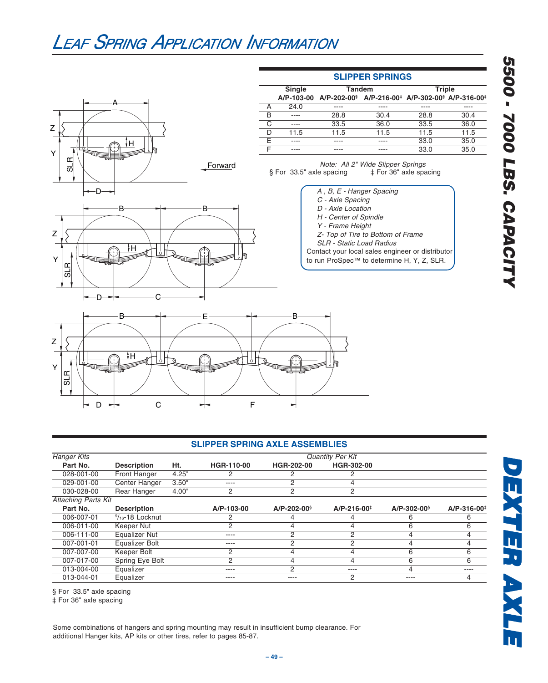



### **SLIPPER SPRINGS**

|   | <b>Single</b> | <b>Tandem</b>                                                                                              |      | <b>Triple</b> |      |
|---|---------------|------------------------------------------------------------------------------------------------------------|------|---------------|------|
|   |               | A/P-103-00 A/P-202-00 <sup>§</sup> A/P-216-00 <sup>‡</sup> A/P-302-00 <sup>§</sup> A/P-316-00 <sup>‡</sup> |      |               |      |
|   | 24.0          | ----                                                                                                       | ---- | ----          |      |
| R | ----          | 28.8                                                                                                       | 30.4 | 28.8          | 30.4 |
|   | ----          | 33.5                                                                                                       | 36.0 | 33.5          | 36.0 |
|   | 11.5          | 11.5                                                                                                       | 11.5 | 11.5          | 11.5 |
|   | ----          | ----                                                                                                       | ---- | 33.0          | 35.0 |
|   | ----          |                                                                                                            |      | 33.0          | 35.0 |

Note: All 2" Wide Slipper Springs<br>
a spacing  $\begin{array}{r} 1 + 1 = 0 \\ 1 + 1 = 0 \end{array}$  For 36" axle spacing § For 33.5" axle spacing

- A , B, E Hanger Spacing
- C Axle Spacing
- D Axle Location
- H Center of Spindle
- Y Frame Height
- Z- Top of Tire to Bottom of Frame SLR - Static Load Radius
- 
- Contact your local sales engineer or distributor to run ProSpec™ to determine H, Y, Z, SLR.



DEXTER AXLE



#### **SLIPPER SPRING AXLE ASSEMBLIES**

| <b>Hanger Kits</b>  |                       |       |                |                   | <b>Quantity Per Kit</b> |                   |                         |
|---------------------|-----------------------|-------|----------------|-------------------|-------------------------|-------------------|-------------------------|
| Part No.            | <b>Description</b>    | Ht.   | HGR-110-00     | HGR-202-00        | HGR-302-00              |                   |                         |
| 028-001-00          | <b>Front Hanger</b>   | 4.25" | 2              |                   |                         |                   |                         |
| 029-001-00          | <b>Center Hanger</b>  | 3.50" | ----           | 2                 |                         |                   |                         |
| 030-028-00          | Rear Hanger           | 4.00" | 2              | 2                 | 2                       |                   |                         |
| Attaching Parts Kit |                       |       |                |                   |                         |                   |                         |
| Part No.            | <b>Description</b>    |       | A/P-103-00     | $A/P - 202 - 00§$ | $A/P - 216 - 00^+$      | $A/P - 302 - 00§$ | A/P-316-00 <sup>+</sup> |
| 006-007-01          | $9/16 - 18$ Locknut   |       | 2              |                   |                         | 6                 |                         |
| 006-011-00          | Keeper Nut            |       | 2              |                   |                         |                   |                         |
| 006-111-00          | <b>Equalizer Nut</b>  |       | ----           | 2                 | 2                       |                   |                         |
| 007-001-01          | <b>Equalizer Bolt</b> |       | ----           | C                 | C                       |                   |                         |
| 007-007-00          | Keeper Bolt           |       | 2              |                   | 4                       | ь.                | ĸ                       |
| 007-017-00          | Spring Eye Bolt       |       | $\overline{2}$ | 4                 | 4                       | 6                 | 6                       |
| 013-004-00          | Equalizer             |       | ----           | 2                 | ----                    |                   | ----                    |
| 013-044-01          | Equalizer             |       | ----           |                   | 2                       |                   |                         |

§ For 33.5" axle spacing

‡ For 36" axle spacing

Some combinations of hangers and spring mounting may result in insufficient bump clearance. For additional Hanger kits, AP kits or other tires, refer to pages 85-87.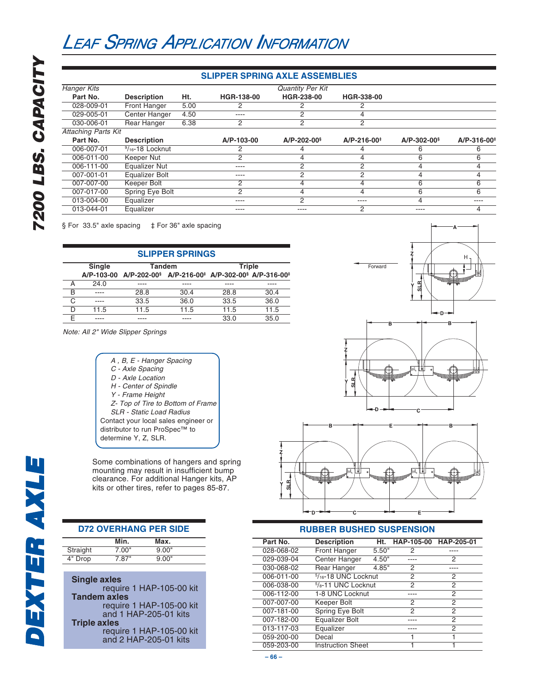### **SLIPPER SPRING AXLE ASSEMBLIES**

| <b>Hanger Kits</b>         |                      |      |            | <b>Quantity Per Kit</b> |                    |                               |                         |
|----------------------------|----------------------|------|------------|-------------------------|--------------------|-------------------------------|-------------------------|
| Part No.                   | <b>Description</b>   | Ht.  | HGR-138-00 | HGR-238-00              | HGR-338-00         |                               |                         |
| 028-009-01                 | Front Hanger         | 5.00 |            |                         | 2                  |                               |                         |
| 029-005-01                 | Center Hanger        | 4.50 | ----       | 2                       |                    |                               |                         |
| 030-006-01                 | Rear Hanger          | 6.38 | 2          | 2                       | 2                  |                               |                         |
| <b>Attaching Parts Kit</b> |                      |      |            |                         |                    |                               |                         |
| Part No.                   | <b>Description</b>   |      | A/P-103-00 | $A/P - 202 - 00§$       | $A/P - 216 - 00^+$ | $A/P - 302 - 00$ <sup>§</sup> | A/P-316-00 <sup>+</sup> |
| 006-007-01                 | $9/16 - 18$ Locknut  |      |            |                         | 4                  | 6                             | 6                       |
| 006-011-00                 | Keeper Nut           |      | 2          | 4                       | 4                  | 6                             | 6                       |
| 006-111-00                 | <b>Equalizer Nut</b> |      | ----       | 2                       | 2                  |                               | 4                       |
| 007-001-01                 | Equalizer Bolt       |      | ----       | 2                       | 2                  | 4                             | 4                       |
| 007-007-00                 | Keeper Bolt          |      | 2          |                         |                    | 6                             | 6                       |
| 007-017-00                 | Spring Eye Bolt      |      | 2          | 4                       | 4                  | 6                             | 6                       |
| 013-004-00                 | Equalizer            |      | ----       | 2                       | ----               | 4                             | ----                    |
| 013-044-01                 | Equalizer            |      | ----       | ----                    | 2                  | ----                          | 4                       |

§ For 33.5" axle spacing  $\uparrow$  For 36" axle spacing

| <b>SLIPPER SPRINGS</b> |        |                                                                                                            |      |               |      |  |  |  |
|------------------------|--------|------------------------------------------------------------------------------------------------------------|------|---------------|------|--|--|--|
|                        | Single | Tandem                                                                                                     |      | <b>Triple</b> |      |  |  |  |
|                        |        | A/P-103-00 A/P-202-00 <sup>§</sup> A/P-216-00 <sup>‡</sup> A/P-302-00 <sup>§</sup> A/P-316-00 <sup>‡</sup> |      |               |      |  |  |  |
| А                      | 24.0   |                                                                                                            |      |               |      |  |  |  |
| B                      |        | 28.8                                                                                                       | 30.4 | 28.8          | 30.4 |  |  |  |
| C                      |        | 33.5                                                                                                       | 36.0 | 33.5          | 36.0 |  |  |  |
| D                      | 11.5   | 11.5                                                                                                       | 11.5 | 11.5          | 11.5 |  |  |  |
|                        |        |                                                                                                            |      | 33.0          | 35.0 |  |  |  |

Note: All 2" Wide Slipper Springs

- A , B, E Hanger Spacing
- C Axle Spacing
- D Axle Location
- H Center of Spindle
- Y Frame Height
- Z- Top of Tire to Bottom of Frame
- SLR Static Load Radius
- Contact your local sales engineer or
- distributor to run ProSpec™ to
- determine Y, Z, SLR.

Some combinations of hangers and spring mounting may result in insufficient bump clearance. For additional Hanger kits, AP kits or other tires, refer to pages 85-87.

| <b>D72 OVERHANG PER SIDE</b> |
|------------------------------|
|------------------------------|

| Max.  |
|-------|
| 9.00" |
| 9.00" |
|       |

| <b>Single axles</b>      |
|--------------------------|
| require 1 HAP-105-00 kit |
| <b>Tandem axles</b>      |
| require 1 HAP-105-00 kit |
| and 1 HAP-205-01 kits    |
| <b>Triple axles</b>      |
| require 1 HAP-105-00 kit |
| and 2 HAP-205-01 kits    |





### **RUBBER BUSHED SUSPENSION**

| Part No.   | <b>Description</b>                          |       | Ht. HAP-105-00 HAP-205-01 |   |
|------------|---------------------------------------------|-------|---------------------------|---|
| 028-068-02 | <b>Front Hanger</b>                         | 5.50" | 2                         |   |
| 029-039-04 | Center Hanger                               | 4.50" |                           | 2 |
| 030-068-02 | Rear Hanger                                 | 4.85" | 2                         |   |
| 006-011-00 | $5/16 - 18$ UNC Locknut                     |       | 2                         | 2 |
| 006-038-00 | <sup>5</sup> / <sub>8</sub> -11 UNC Locknut |       | 2                         | 2 |
| 006-112-00 | 1-8 UNC Locknut                             |       |                           | 2 |
| 007-007-00 | Keeper Bolt                                 |       | 2                         | 2 |
| 007-181-00 | Spring Eye Bolt                             |       | 2                         | 2 |
| 007-182-00 | <b>Equalizer Bolt</b>                       |       |                           | 2 |
| 013-117-03 | Equalizer                                   |       |                           | 2 |
| 059-200-00 | Decal                                       |       |                           |   |
| 059-203-00 | <b>Instruction Sheet</b>                    |       |                           |   |

**7200 LBS. CAPACITY**

7200 LBS. CAPACITY